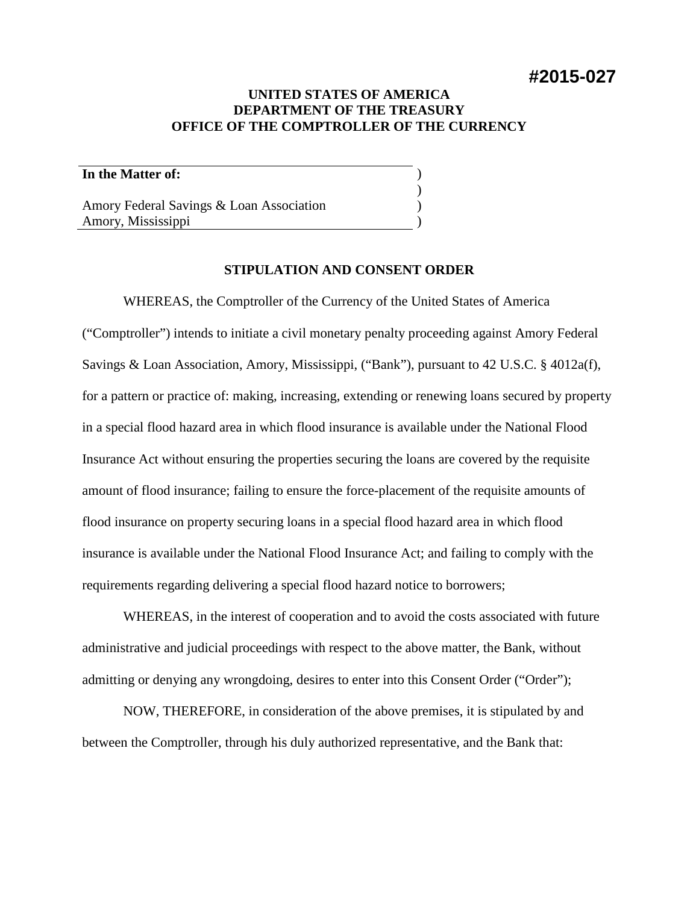# **#2015-027**

## **UNITED STATES OF AMERICA DEPARTMENT OF THE TREASURY OFFICE OF THE COMPTROLLER OF THE CURRENCY**

) ) ) )

## **In the Matter of:**

Amory Federal Savings & Loan Association Amory, Mississippi

## **STIPULATION AND CONSENT ORDER**

WHEREAS, the Comptroller of the Currency of the United States of America ("Comptroller") intends to initiate a civil monetary penalty proceeding against Amory Federal Savings & Loan Association, Amory, Mississippi, ("Bank"), pursuant to 42 U.S.C. § 4012a(f), for a pattern or practice of: making, increasing, extending or renewing loans secured by property in a special flood hazard area in which flood insurance is available under the National Flood Insurance Act without ensuring the properties securing the loans are covered by the requisite amount of flood insurance; failing to ensure the force-placement of the requisite amounts of flood insurance on property securing loans in a special flood hazard area in which flood insurance is available under the National Flood Insurance Act; and failing to comply with the requirements regarding delivering a special flood hazard notice to borrowers;

WHEREAS, in the interest of cooperation and to avoid the costs associated with future administrative and judicial proceedings with respect to the above matter, the Bank, without admitting or denying any wrongdoing, desires to enter into this Consent Order ("Order");

NOW, THEREFORE, in consideration of the above premises, it is stipulated by and between the Comptroller, through his duly authorized representative, and the Bank that: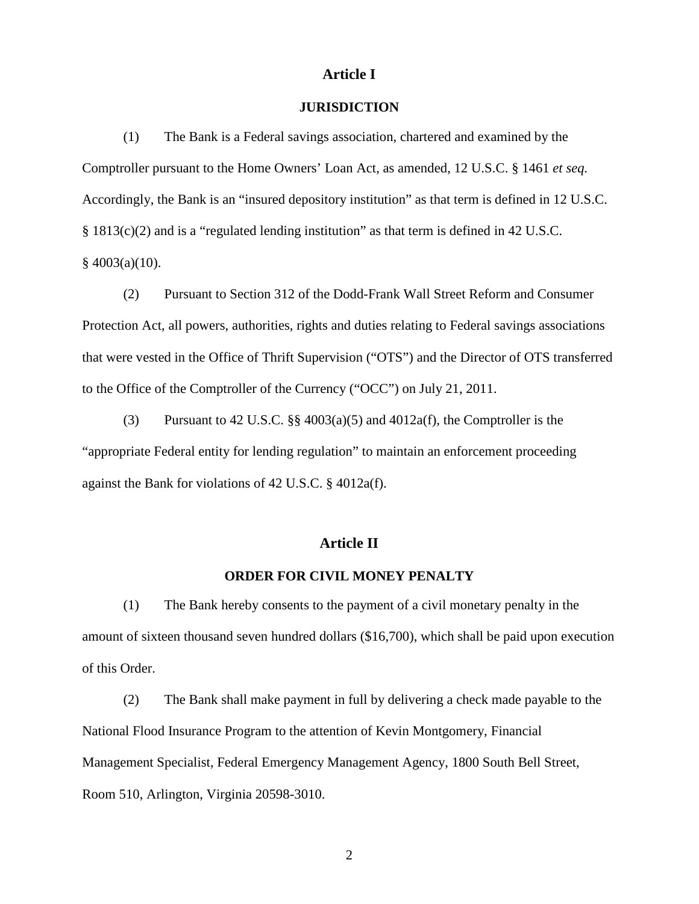## **Article I**

### **JURISDICTION**

(1) The Bank is a Federal savings association, chartered and examined by the Comptroller pursuant to the Home Owners' Loan Act, as amended, 12 U.S.C. § 1461 *et seq.* Accordingly, the Bank is an "insured depository institution" as that term is defined in 12 U.S.C. § 1813(c)(2) and is a "regulated lending institution" as that term is defined in 42 U.S.C.  $§$  4003(a)(10).

(2) Pursuant to Section 312 of the Dodd-Frank Wall Street Reform and Consumer Protection Act, all powers, authorities, rights and duties relating to Federal savings associations that were vested in the Office of Thrift Supervision ("OTS") and the Director of OTS transferred to the Office of the Comptroller of the Currency ("OCC") on July 21, 2011.

(3) Pursuant to 42 U.S.C. §§ 4003(a)(5) and 4012a(f), the Comptroller is the "appropriate Federal entity for lending regulation" to maintain an enforcement proceeding against the Bank for violations of 42 U.S.C. § 4012a(f).

## **Article II**

#### **ORDER FOR CIVIL MONEY PENALTY**

(1) The Bank hereby consents to the payment of a civil monetary penalty in the amount of sixteen thousand seven hundred dollars (\$16,700), which shall be paid upon execution of this Order.

(2) The Bank shall make payment in full by delivering a check made payable to the National Flood Insurance Program to the attention of Kevin Montgomery, Financial Management Specialist, Federal Emergency Management Agency, 1800 South Bell Street, Room 510, Arlington, Virginia 20598-3010.

2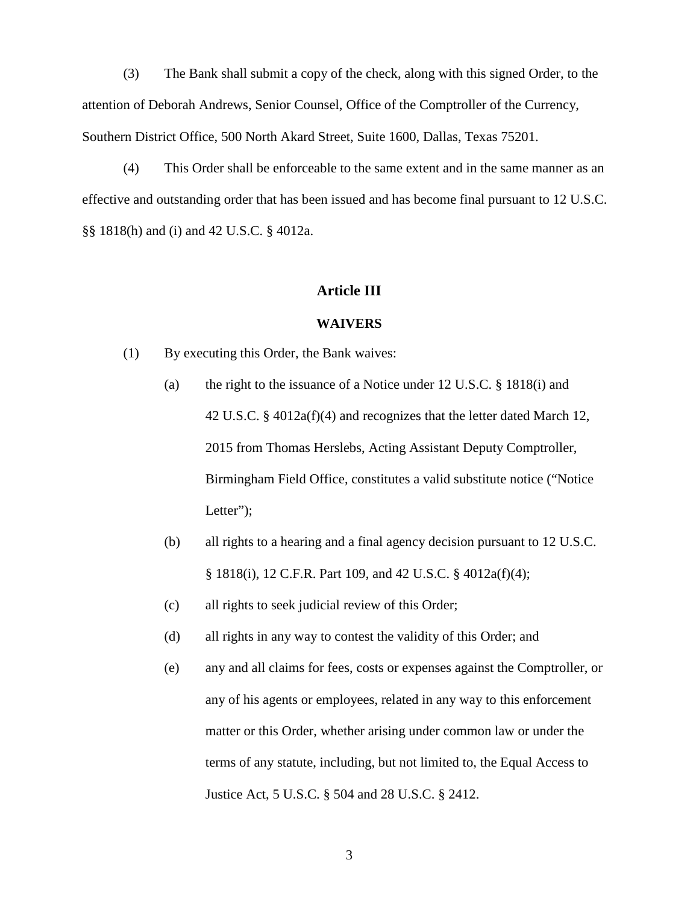(3) The Bank shall submit a copy of the check, along with this signed Order, to the attention of Deborah Andrews, Senior Counsel, Office of the Comptroller of the Currency, Southern District Office, 500 North Akard Street, Suite 1600, Dallas, Texas 75201.

(4) This Order shall be enforceable to the same extent and in the same manner as an effective and outstanding order that has been issued and has become final pursuant to 12 U.S.C. §§ 1818(h) and (i) and 42 U.S.C. § 4012a.

### **Article III**

#### **WAIVERS**

- (1) By executing this Order, the Bank waives:
	- (a) the right to the issuance of a Notice under 12 U.S.C. § 1818(i) and 42 U.S.C. § 4012a(f)(4) and recognizes that the letter dated March 12, 2015 from Thomas Herslebs, Acting Assistant Deputy Comptroller, Birmingham Field Office, constitutes a valid substitute notice ("Notice Letter");
	- (b) all rights to a hearing and a final agency decision pursuant to 12 U.S.C. § 1818(i), 12 C.F.R. Part 109, and 42 U.S.C. § 4012a(f)(4);
	- (c) all rights to seek judicial review of this Order;
	- (d) all rights in any way to contest the validity of this Order; and
	- (e) any and all claims for fees, costs or expenses against the Comptroller, or any of his agents or employees, related in any way to this enforcement matter or this Order, whether arising under common law or under the terms of any statute, including, but not limited to, the Equal Access to Justice Act, 5 U.S.C. § 504 and 28 U.S.C. § 2412.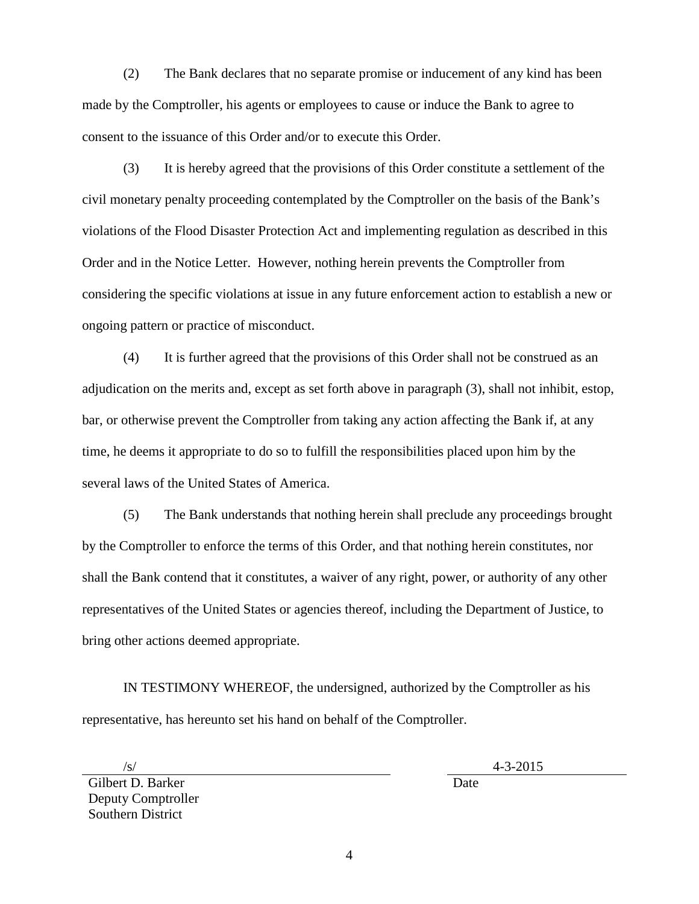(2) The Bank declares that no separate promise or inducement of any kind has been made by the Comptroller, his agents or employees to cause or induce the Bank to agree to consent to the issuance of this Order and/or to execute this Order.

(3) It is hereby agreed that the provisions of this Order constitute a settlement of the civil monetary penalty proceeding contemplated by the Comptroller on the basis of the Bank's violations of the Flood Disaster Protection Act and implementing regulation as described in this Order and in the Notice Letter. However, nothing herein prevents the Comptroller from considering the specific violations at issue in any future enforcement action to establish a new or ongoing pattern or practice of misconduct.

(4) It is further agreed that the provisions of this Order shall not be construed as an adjudication on the merits and, except as set forth above in paragraph (3), shall not inhibit, estop, bar, or otherwise prevent the Comptroller from taking any action affecting the Bank if, at any time, he deems it appropriate to do so to fulfill the responsibilities placed upon him by the several laws of the United States of America.

(5) The Bank understands that nothing herein shall preclude any proceedings brought by the Comptroller to enforce the terms of this Order, and that nothing herein constitutes, nor shall the Bank contend that it constitutes, a waiver of any right, power, or authority of any other representatives of the United States or agencies thereof, including the Department of Justice, to bring other actions deemed appropriate.

IN TESTIMONY WHEREOF, the undersigned, authorized by the Comptroller as his representative, has hereunto set his hand on behalf of the Comptroller.

Gilbert D. Barker Deputy Comptroller Southern District

 $\frac{1}{8}$  4-3-2015

Date

4